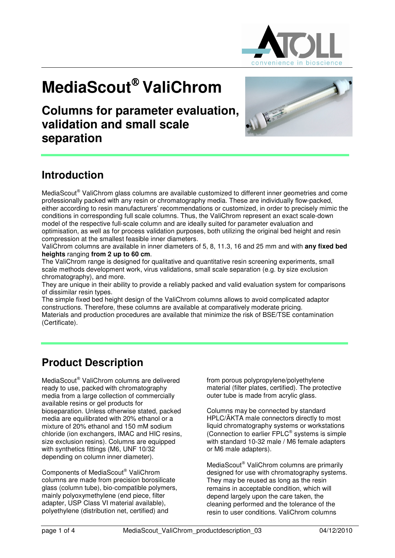

# **MediaScout<sup>®</sup> ValiChrom**

**Columns for parameter evaluation, validation and small scale separation** 



# **Introduction**

MediaScout® ValiChrom glass columns are available customized to different inner geometries and come professionally packed with any resin or chromatography media. These are individually flow-packed, either according to resin manufacturers' recommendations or customized, in order to precisely mimic the conditions in corresponding full scale columns. Thus, the ValiChrom represent an exact scale-down model of the respective full-scale column and are ideally suited for parameter evaluation and optimisation, as well as for process validation purposes, both utilizing the original bed height and resin compression at the smallest feasible inner diameters.

ValiChrom columns are available in inner diameters of 5, 8, 11.3, 16 and 25 mm and with **any fixed bed heights** ranging **from 2 up to 60 cm**.

The ValiChrom range is designed for qualitative and quantitative resin screening experiments, small scale methods development work, virus validations, small scale separation (e.g. by size exclusion chromatography), and more.

They are unique in their ability to provide a reliably packed and valid evaluation system for comparisons of dissimilar resin types.

The simple fixed bed height design of the ValiChrom columns allows to avoid complicated adaptor constructions. Therefore, these columns are available at comparatively moderate pricing.

Materials and production procedures are available that minimize the risk of BSE/TSE contamination (Certificate).

# **Product Description**

MediaScout® ValiChrom columns are delivered ready to use, packed with chromatography media from a large collection of commercially available resins or gel products for bioseparation. Unless otherwise stated, packed media are equilibrated with 20% ethanol or a mixture of 20% ethanol and 150 mM sodium chloride (ion exchangers, IMAC and HIC resins, size exclusion resins). Columns are equipped with synthetics fittings (M6, UNF 10/32 depending on column inner diameter).

Components of MediaScout® ValiChrom columns are made from precision borosilicate glass (column tube), bio-compatible polymers, mainly polyoxymethylene (end piece, filter adapter, USP Class VI material available), polyethylene (distribution net, certified) and

from porous polypropylene/polyethylene material (filter plates, certified). The protective outer tube is made from acrylic glass.

Columns may be connected by standard HPLC/ÄKTA male connectors directly to most liquid chromatography systems or workstations (Connection to earlier  $FPLC^{\circledast}$  systems is simple with standard 10-32 male / M6 female adapters or M6 male adapters).

MediaScout® ValiChrom columns are primarily designed for use with chromatography systems. They may be reused as long as the resin remains in acceptable condition, which will depend largely upon the care taken, the cleaning performed and the tolerance of the resin to user conditions. ValiChrom columns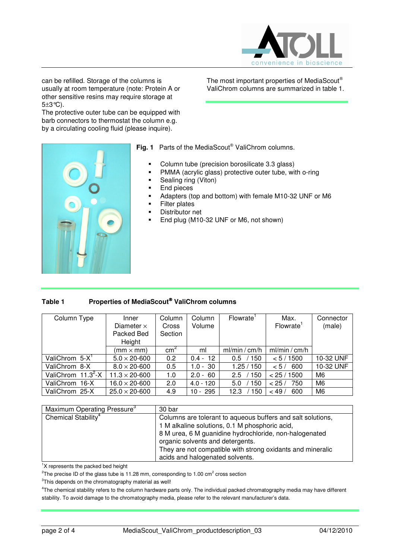

The most important properties of MediaScout ValiChrom columns are summarized in table 1.

can be refilled. Storage of the columns is usually at room temperature (note: Protein A or other sensitive resins may require storage at 5±3°C).

The protective outer tube can be equipped with barb connectors to thermostat the column e.g. by a circulating cooling fluid (please inquire).



Fig. 1 Parts of the MediaScout<sup>®</sup> ValiChrom columns.

- Column tube (precision borosilicate 3.3 glass)
- PMMA (acrylic glass) protective outer tube, with o-ring
- Sealing ring (Viton)
- End pieces
- Adapters (top and bottom) with female M10-32 UNF or M6
- Filter plates
- Distributor net
- End plug (M10-32 UNF or M6, not shown)

## **Table 1 Properties of MediaScout ValiChrom columns**

| Column Type           | Inner<br>Diameter $\times$<br>Packed Bed<br>Height | Column<br>Cross<br>Section | Column<br>Volume | Flowrate <sup>1</sup> | Max.<br>Flowrate <sup>1</sup> | Connector<br>(male) |
|-----------------------|----------------------------------------------------|----------------------------|------------------|-----------------------|-------------------------------|---------------------|
|                       | (mm $\times$ mm)                                   | $\text{cm}^2$              | ml               | ml/min / cm/h         | ml/min / cm/h                 |                     |
| ValiChrom $5-X^1$     | $5.0 \times 20 - 600$                              | 0.2                        | $0.4 - 12$       | 150<br>$0.5^{\circ}$  | < 5 / 1500                    | 10-32 UNF           |
| ValiChrom 8-X         | $8.0 \times 20 - 600$                              | 0.5                        | $1.0 - 30$       | 1.25/150              | 600<br>< 5/                   | 10-32 UNF           |
| ValiChrom $11.3^2$ -X | $11.3 \times 20 - 600$                             | 1.0                        | $2.0 - 60$       | 150<br>2.5            | < 25 / 1500                   | M <sub>6</sub>      |
| ValiChrom 16-X        | $16.0 \times 20 - 600$                             | 2.0                        | $4.0 - 120$      | 150<br>5.0            | 750<br>< 25/                  | M <sub>6</sub>      |
| ValiChrom 25-X        | $25.0 \times 20 - 600$                             | 4.9                        | $10 - 295$       | 150<br>12.3           | < 49/<br>600                  | M <sub>6</sub>      |

| Maximum Operating Pressure <sup>3</sup> | 30 bar                                                      |
|-----------------------------------------|-------------------------------------------------------------|
| Chemical Stability <sup>4</sup>         | Columns are tolerant to aqueous buffers and salt solutions, |
|                                         | 1 M alkaline solutions, 0.1 M phosphoric acid,              |
|                                         | 8 M urea, 6 M guanidine hydrochloride, non-halogenated      |
|                                         | organic solvents and detergents.                            |
|                                         | They are not compatible with strong oxidants and mineralic  |
|                                         | acids and halogenated solvents.                             |

<sup>1</sup>X represents the packed bed height

<sup>2</sup>The precise ID of the glass tube is 11.28 mm, corresponding to 1.00 cm<sup>2</sup> cross section

 $3$ This depends on the chromatography material as well!

4 The chemical stability refers to the column hardware parts only. The individual packed chromatography media may have different stability. To avoid damage to the chromatography media, please refer to the relevant manufacturer's data.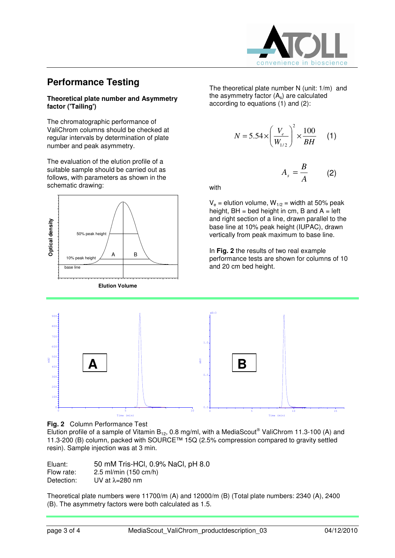

## **Performance Testing**

### **Theoretical plate number and Asymmetry factor ('Tailing')**

The chromatographic performance of ValiChrom columns should be checked at regular intervals by determination of plate number and peak asymmetry.

The evaluation of the elution profile of a suitable sample should be carried out as follows, with parameters as shown in the schematic drawing:



**Elution Volume** 

The theoretical plate number N (unit: 1/m) and the asymmetry factor  $(A_s)$  are calculated according to equations (1) and (2):

$$
N = 5.54 \times \left(\frac{V_e}{W_{1/2}}\right)^2 \times \frac{100}{BH} \quad (1)
$$

*A B*  $A_s = \frac{B}{4}$  (2)

with

 $V_e$  = elution volume,  $W_{1/2}$  = width at 50% peak height,  $BH = bed$  height in cm,  $B$  and  $A = left$ and right section of a line, drawn parallel to the base line at 10% peak height (IUPAC), drawn vertically from peak maximum to base line.

In **Fig. 2** the results of two real example performance tests are shown for columns of 10 and 20 cm bed height.





Elution profile of a sample of Vitamin B<sub>12</sub>, 0.8 mg/ml, with a MediaScout® ValiChrom 11.3-100 (A) and 11.3-200 (B) column, packed with SOURCE™ 15Q (2.5% compression compared to gravity settled resin). Sample injection was at 3 min.

| Eluant:    | 50 mM Tris-HCl, 0.9% NaCl, pH 8.0 |
|------------|-----------------------------------|
| Flow rate: | $2.5$ ml/min (150 cm/h)           |
| Detection: | UV at $\lambda$ =280 nm           |

Theoretical plate numbers were 11700/m (A) and 12000/m (B) (Total plate numbers: 2340 (A), 2400 (B). The asymmetry factors were both calculated as 1.5.